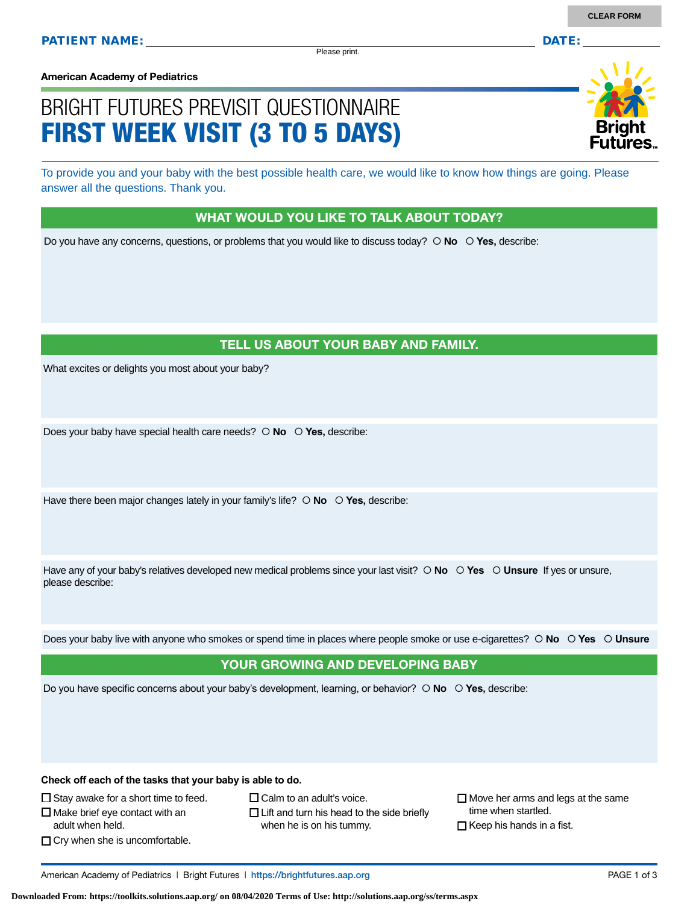Please print.

**American Academy of Pediatrics**

# BRIGHT FUTURES PREVISIT QUESTIONNAIRE FIRST WEEK VISIT (3 TO 5 DAYS)

To provide you and your baby with the best possible health care, we would like to know how things are going. Please answer all the questions. Thank you.

#### WHAT WOULD YOU LIKE TO TALK ABOUT TODAY?

Do you have any concerns, questions, or problems that you would like to discuss today?  $\circ$  **No**  $\circ$  **Yes**, describe:

### TELL US ABOUT YOUR BABY AND FAMILY.

What excites or delights you most about your baby?

Does your baby have special health care needs?  $\circ$  **No**  $\circ$  **Yes**, describe:

Have there been major changes lately in your family's life?  $\circ$  **No**  $\circ$  **Yes**, describe:

Have any of your baby's relatives developed new medical problems since your last visit?  $\circ$  **No**  $\circ$  **Yes**  $\circ$  **Unsure** If yes or unsure, please describe:

Does your baby live with anyone who smokes or spend time in places where people smoke or use e-cigarettes?  **No Yes Unsure**

#### YOUR GROWING AND DEVELOPING BABY

Do you have specific concerns about your baby's development, learning, or behavior?  **No Yes,** describe:

**Check off each of the tasks that your baby is able to do.**

 $\Box$  Stay awake for a short time to feed.

 $\square$  Make brief eye contact with an adult when held.

- $\Box$  Cry when she is uncomfortable.
- $\Box$  Calm to an adult's voice.

 $\Box$  Lift and turn his head to the side briefly when he is on his tummy.

 $\Box$  Move her arms and legs at the same time when startled.

 $\Box$  Keep his hands in a fist.

American Academy of Pediatrics | Bright Futures | https:/[/brightfutures.aap.org](https://brightfutures.aap.org/Pages/default.aspx) PAGE 1 of 3

**Downloaded From: https://toolkits.solutions.aap.org/ on 08/04/2020 Terms of Use: http://solutions.aap.org/ss/terms.aspx**

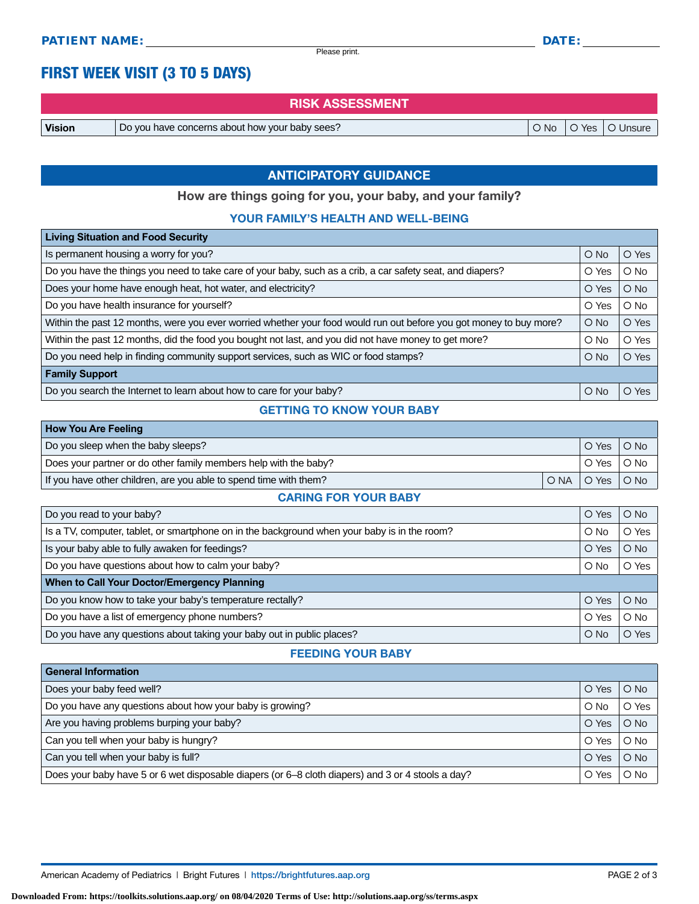Please print.

## FIRST WEEK VISIT (3 TO 5 DAYS)

RISK ASSESSMENT

**Vision**  $\vert$  Do you have concerns about how your baby sees?  $\vert$  O No  $\vert$  O Yes  $\vert$  O Unsure

### ANTICIPATORY GUIDANCE

How are things going for you, your baby, and your family?

#### YOUR FAMILY'S HEALTH AND WELL-BEING

| <b>Living Situation and Food Security</b>                                                                          |               |        |
|--------------------------------------------------------------------------------------------------------------------|---------------|--------|
| Is permanent housing a worry for you?                                                                              | $O$ No        | O Yes  |
| Do you have the things you need to take care of your baby, such as a crib, a car safety seat, and diapers?         | O Yes         | $O$ No |
| Does your home have enough heat, hot water, and electricity?                                                       | O Yes         | $O$ No |
| Do you have health insurance for yourself?                                                                         | O Yes         | $O$ No |
| Within the past 12 months, were you ever worried whether your food would run out before you got money to buy more? | $O$ No        | O Yes  |
| Within the past 12 months, did the food you bought not last, and you did not have money to get more?               | $\circ$ No    | O Yes  |
| Do you need help in finding community support services, such as WIC or food stamps?                                | $\bigcirc$ No | O Yes  |
| <b>Family Support</b>                                                                                              |               |        |
| Do you search the Internet to learn about how to care for your baby?                                               | $O$ No        | O Yes  |

#### GETTING TO KNOW YOUR BABY

| How You Are Feeling                                               |                     |        |
|-------------------------------------------------------------------|---------------------|--------|
| Do you sleep when the baby sleeps?                                | O Yes               | $O$ No |
| Does your partner or do other family members help with the baby?  | ⊢O Yes <sup>⊥</sup> | l O No |
| If you have other children, are you able to spend time with them? | ONA O Yes O No      |        |

#### CARING FOR YOUR BABY

| Do you read to your baby?                                                                    | O Yes      | $O$ No |
|----------------------------------------------------------------------------------------------|------------|--------|
| Is a TV, computer, tablet, or smartphone on in the background when your baby is in the room? | $O$ No     | O Yes  |
| Is your baby able to fully awaken for feedings?                                              | O Yes      | $O$ No |
| Do you have questions about how to calm your baby?                                           | $\circ$ No | O Yes  |
| When to Call Your Doctor/Emergency Planning                                                  |            |        |
| Do you know how to take your baby's temperature rectally?                                    | O Yes      | $O$ No |
| Do you have a list of emergency phone numbers?                                               | O Yes      | O No   |
| Do you have any questions about taking your baby out in public places?                       | $O$ No     | O Yes  |

#### FEEDING YOUR BABY

| <b>General Information</b>                                                                        |        |               |
|---------------------------------------------------------------------------------------------------|--------|---------------|
| Does your baby feed well?                                                                         | O Yes  | $O$ No        |
| Do you have any questions about how your baby is growing?                                         | $O$ No | O Yes         |
| Are you having problems burping your baby?                                                        | O Yes  | $O$ No        |
| Can you tell when your baby is hungry?                                                            | O Yes  | $O$ No        |
| Can you tell when your baby is full?                                                              | O Yes  | $O$ No        |
| Does your baby have 5 or 6 wet disposable diapers (or 6–8 cloth diapers) and 3 or 4 stools a day? | O Yes  | $\bigcirc$ No |